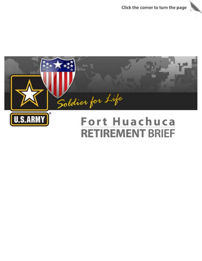

# Fort Huachuca **RETIREMENT BRIEF**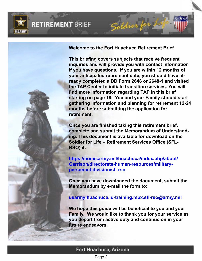

**Welcome to the Fort Huachuca Retirement Brief**

**This briefing covers subjects that receive frequent inquiries and will provide you with contact information if you have questions. If you are within 12 months of your anticipated retirement date, you should have already completed a DD Form 2648 or 2648-1 and visited the TAP Center to initiate transition services. You will find more information regarding TAP in this brief starting on page 18. You and your Family should start gathering information and planning for retirement 12-24 months before submitting the application for retirement.** 

**Once you are finished taking this retirement brief, complete and submit the Memorandum of Understanding. This document is available for download on the Soldier for Life – Retirement Services Office (SFL-RSO)at:**

**https://home.army.mil/huachuca/index.php/about/ Garrison/directorate-human-resources/militarypersonnel-division/sfl-rso**

**Once you have downloaded the document, submit the Memorandum by e-mail the form to:** 

**usarmy.huachuca.id-training.mbx.sfl-rso@army.mil**

**We hope this guide will be beneficial to you and your Family. We would like to thank you for your service as you depart from active duty and continue on in your future endeavors.**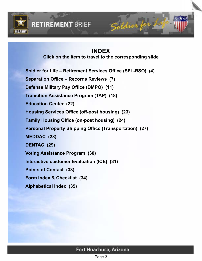<span id="page-2-0"></span>

## **INDEX**

**Click on the item to travel to the corresponding slide**

**[Soldier for Life – Retirement Services Office \(SFL-RSO\) \(4\)](#page-3-0) [Separation Office – Records Reviews \(7\)](#page-6-0) [Defense Military Pay Office \(DMPO\) \(11\)](#page-10-0) [Transition Assistance Program \(TAP\) \(18\)](#page-16-0) [Education Center \(22\)](#page-20-0) [Housing Services Office \(off-post housing\) \(23\)](#page-21-0) [Family Housing Office \(on-post housing\) \(24\)](#page-22-0) [Personal Property Shipping Office \(Transportation\) \(27\)](#page-25-0) [MEDDAC \(28\)](#page-26-0) [DENTAC \(29\)](#page-27-0) [Voting Assistance Program \(30\)](#page-28-0) [Interactive customer Evaluation \(ICE\) \(31\)](#page-29-0) [Points of Contact \(33\)](#page-30-0) [Form Index & Checklist \(34\)](#page-31-0) [Alphabetical Index \(35\)](#page-32-0)**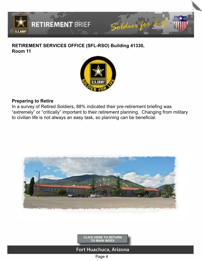<span id="page-3-0"></span>

## **RETIREMENT SERVICES OFFICE (SFL-RSO) Building 41330, Room 11**



### **Preparing to Retire**

In a survey of Retired Soldiers, 88% indicated their pre-retirement briefing was "extremely" or "critically" important to their retirement planning. Changing from military to civilian life is not always an easy task, so planning can be beneficial.



**[CLICK HERE TO RETURN](#page-2-0)  TO MAIN INDEX**

## Fort Huachuca, Arizona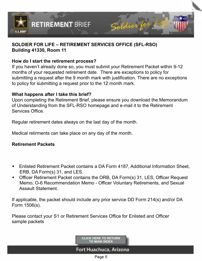

### **SOLDIER FOR LIFE – RETIREMENT SERVICES OFFICE (SFL-RSO) Building 41330, Room 11**

### **How do I start the retirement process?**

**RETIREMENT BRIEF** 

If you haven't already done so, you must submit your Retirement Packet within 9-12 months of your requested retirement date. There are exceptions to policy for submitting a request after the 9 month mark with justification. There are no exceptions to policy for submitting a request prior to the 12 month mark.

### **What happens after I take this brief?**

Upon completing the Retirement Brief, please ensure you download the Memorandum of Understanding from the SFL-RSO homepage and e-mail it to the Retirement Services Office.

Regular retirement dates always on the last day of the month.

Medical retirments can take place on any day of the month.

### **Retirement Packets**

- Enlisted Retirement Packet contains a DA Form 4187, Additional Information Sheet, ERB, DA Form(s) 31, and LES.
- Officer Retirement Packet contains the ORB, DA Form(s) 31, LES, Officer Request Memo, O-6 Recommendation Memo - Officer Voluntary Retirements, and Sexual Assault Statement.

If applicable, the packet should include any prior service DD Form 214(s) and/or DA Form 1506(s).

Please contact your S1 or Retirement Services Office for Enlisted and Officer sample packets

> **[CLICK HERE TO RETURN](#page-2-0)  TO MAIN INDEX**

Fort Huachuca, Arizona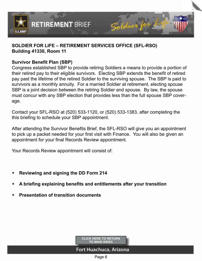

### **SOLDIER FOR LIFE – RETIREMENT SERVICES OFFICE (SFL-RSO) Building 41330, Room 11**

### **Survivor Benefit Plan (SBP)**

Congress established SBP to provide retiring Soldiers a means to provide a portion of their retired pay to their eligible survivors. Electing SBP extends the benefit of retired pay past the lifetime of the retired Soldier to the surviving spouse. The SBP is paid to survivors as a monthly annuity. For a married Soldier at retirement, electing spouse SBP is a joint decision between the retiring Soldier and spouse. By law, the spouse must concur with any SBP election that provides less than the full spouse SBP coverage.

Contact your SFL-RSO at (520) 533-1120, or (520) 533-1383, after completing the this briefing to schedule your SBP appointment.

After attending the Survivor Benefits Brief, the SFL-RSO will give you an appointment to pick up a packet needed for your first visit with Finance. You will also be given an appointment for your final Records Review appointment.

Your Records Review appointment will consist of:

**RETIREMENT BRIEF** 

- **Reviewing and signing the DD Form 214**
- w **A briefing explaining benefits and entitlements after your transition**
- **Presentation of transition documents**

**[CLICK HERE TO RETURN](#page-2-0)  TO MAIN INDEX**

## Fort Huachuca, Arizona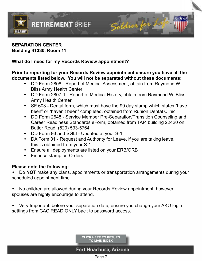<span id="page-6-0"></span>

#### **SEPARATION CENTER Building 41330, Room 11**

### **What do I need for my Records Review appointment?**

### **Prior to reporting for your Records Review appointment ensure you have all the documents listed below. You will not be separated without these documents:**

- DD Form 2808 Report of Medical Assessment, obtain from Raymond W. Bliss Army Health Center
- DD Form 2807-1 Report of Medical History, obtain from Raymond W. Bliss Army Health Center
- $\div$  SF 603 Dental form, which must have the 90 day stamp which states "have been" or "haven't been" completed, obtained from Runion Dental Clinic
- DD Form 2648 Service Member Pre-Separation/Transition Counseling and Career Readiness Standards eForm, obtained from TAP, building 22420 on Butler Road, (520) 533-5764
- DD Form 93 and SGLI Updated at your S-1
- DA Form 31 Request and Authority for Leave, if you are taking leave, this is obtained from your S-1
- Ensure all deployments are listed on your ERB/ORB
- $\bullet$  Finance stamp on Orders

## **Please note the following:**

Do **NOT** make any plans, appointments or transportation arrangements during your scheduled appointment time.

No children are allowed during your Records Review appointment, however, spouses are highly encourage to attend.

Very Important: before your separation date, ensure you change your AKO login settings from CAC READ ONLY back to password access.

> **[CLICK HERE TO RETURN](#page-2-0)  TO MAIN INDEX**

## Fort Huachuca, Arizona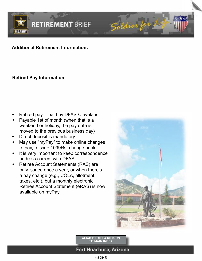

## **Additional Retirement Information:**

## **Retired Pay Information**

- Retired pay -- paid by DFAS-Cleveland
- Payable 1st of month (when that is a weekend or holiday, the pay date is moved to the previous business day)
- Direct deposit is mandatory
- May use "myPay" to make online changes to pay, reissue 1099Rs, change bank
- It is very important to keep correspondence address current with DFAS
- Retiree Account Statements (RAS) are only issued once a year, or when there's a pay change (e.g., COLA, allotment, taxes, etc.), but a monthly electronic Retiree Account Statement (eRAS) is now available on myPay



**[CLICK HERE TO RETURN](#page-2-0)  TO MAIN INDEX**

## Fort Huachuca, Arizona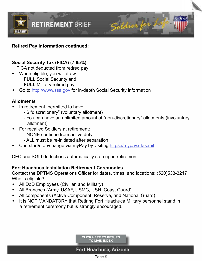

### **Retired Pay Information continued:**

## **Social Security Tax (FICA) (7.65%)**

FICA not deducted from retired pay

- When eligible, you will draw: **FULL** Social Security and **FULL** Military retired pay!
- Go to<http://www.ssa.gov> for in-depth Social Security information

### **Allotments**

- In retirement, permitted to have:
	- 6 "discretionary" (voluntary allotment)
	- You can have an unlimited amount of "non-discretionary" allotments (involuntary allotment)
- For recalled Soldiers at retirement:
	- NONE continue from active duty
	- ALL must be re-initiated after separation
- Can start/stop/change via myPay by visiting <https://mypay.dfas.mil>

CFC and SGLI deductions automatically stop upon retirement

### **Fort Huachuca Installation Retirement Ceremonies**

Contact the DPTMS Operations Officer for dates, times, and locations: (520)533-3217 Who is eligible?

- All DoD Employees (Civilian and Military)
- All Branches (Army, USAF, USMC, USN, Coast Guard)
- All components (Active Component, Reserve, and National Guard)
- It is NOT MANDATORY that Retiring Fort Huachuca Military personnel stand in a retirement ceremony but is strongly encouraged.

**[CLICK HERE TO RETURN](#page-2-0)  TO MAIN INDEX**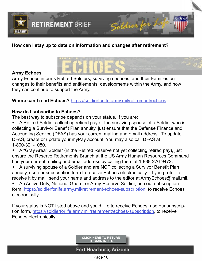

### **How can I stay up to date on information and changes after retirement?**

#### **Army Echoes**

Army Echoes informs Retired Soldiers, surviving spouses, and their Families on changes to their benefits and entitlements, developments within the Army, and how they can continue to support the Army.

### **Where can I read Echoes?** <https://soldierforlife.army.mil/retirement/echoes>

### **How do I subscribe to Echoes?**

The best way to subscribe depends on your status. If you are:

- A Retired Soldier collecting retired pay or the surviving spouse of a Soldier who is collecting a Survivor Benefit Plan annuity, just ensure that the Defense Finance and Accounting Service (DFAS) has your current mailing and email address. To update DFAS, create or update your myPay account. You may also call DFAS at 1-800-321-1080.
- A "Gray Area" Soldier (in the Retired Reserve not yet collecting retired pay), just ensure the Reserve Retirements Branch at the US Army Human Resources Command has your current mailing and email address by calling them at 1-888-276-9472.
- A surviving spouse of a Soldier and are NOT collecting a Survivor Benefit Plan annuity, use our subscription form to receive Echoes electronically. If you prefer to receive it by mail, send your name and address to the editor at ArmyEchoes@mail.mil.

An Active Duty, National Guard, or Army Reserve Soldier, use our subscription form, <https://soldierforlife.army.mil/retirement/echoes-subscription>, to receive Echoes electronically.

If your status is NOT listed above and you'd like to receive Echoes, use our subscription form, <https://soldierforlife.army.mil/retirement/echoes-subscription>, to receive Echoes electronically.

> **[CLICK HERE TO RETURN](#page-2-0)  TO MAIN INDEX**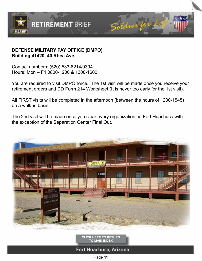<span id="page-10-0"></span>

### **DEFENSE MILITARY PAY OFFICE (DMPO) Building 41420, 40 Rhea Ave.**

Contact numbers: (520) 533-8214/0394 Hours: Mon – Fri 0800-1200 & 1300-1600

You are required to visit DMPO twice. The 1st visit will be made once you receive your retirement orders and DD Form 214 Worksheet (It is never too early for the 1st visit).

All FIRST visits will be completed in the afternoon (between the hours of 1230-1545) on a walk-in basis.

The 2nd visit will be made once you clear every organization on Fort Huachuca with the exception of the Separation Center Final Out.



**[CLICK HERE TO RETURN](#page-2-0)  TO MAIN INDEX**

Fort Huachuca, Arizona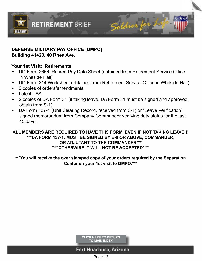

### **DEFENSE MILITARY PAY OFFICE (DMPO) Building 41420, 40 Rhea Ave.**

### **Your 1st Visit: Retirements**

- DD Form 2656, Retired Pay Data Sheet (obtained from Retirement Service Office in Whitside Hall)
- DD Form 214 Worksheet (obtained from Retirement Service Office in Whitside Hall)
- 3 copies of orders/amendments
- $\bullet$  Latest LES
- 2 copies of DA Form 31 (if taking leave, DA Form 31 must be signed and approved, obtain from S-1)
- DA Form 137-1 (Unit Clearing Record, received from S-1) or "Leave Verification" signed memorandum from Company Commander verifying duty status for the last 45 days.

#### **ALL MEMBERS ARE REQUIRED TO HAVE THIS FORM, EVEN IF NOT TAKING LEAVE!!! \*\*\*DA FORM 137-1: MUST BE SIGNED BY E-6 OR ABOVE, COMMANDER, OR ADJUTANT TO THE COMMANDER\*\*\* \*\*\*\*OTHERWISE IT WILL NOT BE ACCEPTED\*\*\*\***

**\*\*\*You will receive the over stamped copy of your orders required by the Separation Center on your 1st visit to DMPO.\*\*\***

> **[CLICK HERE TO RETURN](#page-2-0)  TO MAIN INDEX**

### Fort Huachuca, Arizona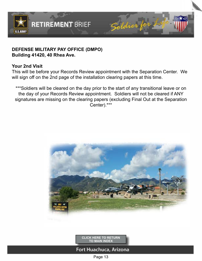

#### **DEFENSE MILITARY PAY OFFICE (DMPO) Building 41420, 40 Rhea Ave.**

### **Your 2nd Visit**

This will be before your Records Review appointment with the Separation Center. We will sign off on the 2nd page of the installation clearing papers at this time.

\*\*\*Soldiers will be cleared on the day prior to the start of any transitional leave or on the day of your Records Review appointment. Soldiers will not be cleared if ANY signatures are missing on the clearing papers (excluding Final Out at the Separation Center).\*\*\*



**[CLICK HERE TO RETURN](#page-2-0)  TO MAIN INDEX**

Fort Huachuca, Arizona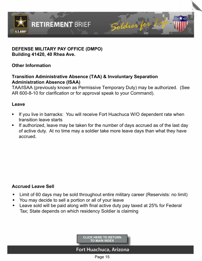

### **DEFENSE MILITARY PAY OFFICE (DMPO) Building 41420, 40 Rhea Ave.**

**Other Information**

## **Transition Administrative Absence (TAA) & Involuntary Separation Administration Absence (ISAA)**

TAA/ISAA (previously known as Permissive Temporary Duty) may be authorized. (See AR 600-8-10 for clarification or for approval speak to your Command).

### **Leave**

- If you live in barracks: You will receive Fort Huachuca W/O dependent rate when transition leave starts
- $\bullet$  If authorized, leave may be taken for the number of days accrued as of the last day of active duty. At no time may a soldier take more leave days than what they have accrued.

## **Accrued Leave Sell**

- Limit of 60 days may be sold throughout entire military career (Reservists: no limit)
- You may decide to sell a portion or all of your leave
- Leave sold will be paid along with final active duty pay taxed at 25% for Federal Tax; State depends on which residency Soldier is claiming

**[CLICK HERE TO RETURN](#page-2-0)  TO MAIN INDEX**

## Fort Huachuca, Arizona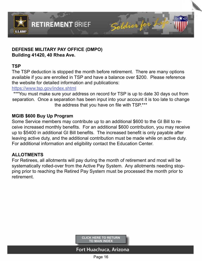

### **DEFENSE MILITARY PAY OFFICE (DMPO) Building 41420, 40 Rhea Ave.**

**RETIREMENT BRIEF** 

#### **TSP**

The TSP deduction is stopped the month before retirement. There are many options available if you are enrolled in TSP and have a balance over \$200. Please reference the website for detailed information and publications:

### <https://www.tsp.gov/index.shtml>

\*\*\*You must make sure your address on record for TSP is up to date 30 days out from separation. Once a separation has been input into your account it is too late to change the address that you have on file with TSP.\*\*\*

### **MGIB \$600 Buy Up Program**

Some Service members may contribute up to an additional \$600 to the GI Bill to receive increased monthly benefits. For an additional \$600 contribution, you may receive up to \$5400 in additional GI Bill benefits. The increased benefit is only payable after leaving active duty, and the additional contribution must be made while on active duty. For additional information and eligibility contact the Education Center.

## **ALLOTMENTS**

For Retirees, all allotments will pay during the month of retirement and most will be systematically rolled-over from the Active Pay System. Any allotments needing stopping prior to reaching the Retired Pay System must be processed the month prior to retirement.

> **[CLICK HERE TO RETURN](#page-2-0)  TO MAIN INDEX**

## Fort Huachuca, Arizona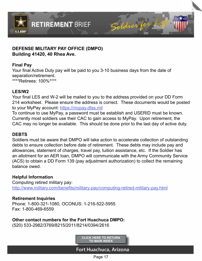

### **DEFENSE MILITARY PAY OFFICE (DMPO) Building 41420, 40 Rhea Ave.**

**RETIREMENT BRIEF** 

### **Final Pay**

Your final Active Duty pay will be paid to you 3-10 business days from the date of separation/retirement. \*\*\*\*Retirees: 100%\*\*\*\*

#### **LES/W2**

Your final LES and W-2 will be mailed to you to the address provided on your DD Form 214 worksheet. Please ensure the address is correct. These documents would be posted to your MyPay account: <https://mypay.dfas.mil>

To continue to use MyPay, a password must be establish and USERID must be known. Currently most soldiers use their CAC to gain access to MyPay. Upon retirement, the CAC may no longer be available. This should be done prior to the last day of active duty.

### **DEBTS**

Soldiers must be aware that DMPO will take action to accelerate collection of outstanding debts to ensure collection before date of retirement. These debts may include pay and allowances, statement of charges, travel pay, tuition assistance, etc. If the Soldier has an allotment for an AER loan, DMPO will communicate with the Army Community Service (ACS) to obtain a DD Form 139 (pay adjustment authorization) to collect the remaining balance owed.

### **Helpful Information**

Computing retired military pay: <http://www.military.com/benefits/military-pay/computing-retired-military-pay.html>

### **Retirement Inquiries**

Phone: 1-800-321-1080, OCONUS: 1-216-522-5955 Fax: 1-800-469-6559

## **Other contact numbers for the Fort Huachuca DMPO:**

(520) 533-2982/3769/8215/2011/8214/0394/2616

**[CLICK HERE TO RETURN](#page-2-0)  TO MAIN INDEX**

## Fort Huachuca, Arizona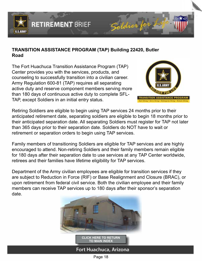<span id="page-16-0"></span>

### **TRANSITION ASSISTANCE PROGRAM (TAP) Building 22420, Butler Road**

The Fort Huachuca Transition Assistance Program (TAP) Center provides you with the services, products, and counseling to successfully transition into a civilian career. Army Regulation 600-81 (TAP) requires all separating active duty and reserve component members serving more than 180 days of continuous active duty to complete SFL-TAP, except Soldiers in an initial entry status.



Retiring Soldiers are eligible to begin using TAP services 24 months prior to their anticipated retirement date, separating soldiers are eligible to begin 18 months prior to their anticipated separation date. All separating Soldiers must register for TAP not later than 365 days prior to their separation date. Soldiers do NOT have to wait or retirement or separation orders to begin using TAP services.

Family members of transitioning Soldiers are eligible for TAP services and are highly encouraged to attend. Non-retiring Soldiers and their family members remain eligible for 180 days after their separation date to use services at any TAP Center worldwide, retirees and their families have lifetime eligibility for TAP services.

Department of the Army civilian employees are eligible for transition services if they are subject to Reduction in Force (RIF) or Base Realignment and Closure (BRAC), or upon retirement from federal civil service. Both the civilian employee and their family members can receive TAP services up to 180 days after their sponsor's separation date.



Page 18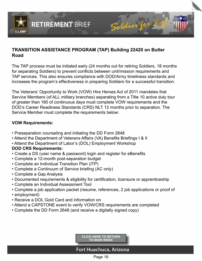

### **TRANSITION ASSISTANCE PROGRAM (TAP) Building 22420 on Butler Road**

The TAP process must be initiated early (24 months out for retiring Soldiers, 18 months for separating Soldiers) to prevent conflicts between unit/mission requirements and TAP services. This also ensures compliance with DOD/Army timeliness standards and increases the program's effectiveness in preparing Soldiers for a successful transition.

The Veterans' Opportunity to Work (VOW) Hire Heroes Act of 2011 mandates that Service Members (of ALL military branches) separating from a Title 10 active duty tour of greater than 180 of continuous days must complete VOW requirements and the DOD's Career Readiness Standards (CRS) NLT 12 months prior to separation. The Service Member must complete the requirements below:

#### **VOW Requirements:**

- Preseparation counseling and initiating the DD Form 2648
- Attend the Department of Veterans Affairs (VA) Benefits Briefings I & II
- Attend the Department of Labor's (DOL) Employment Workshop

### **DOD CRS Requirements:**

- Create a DS (user name & password) login and register for eBenefits
- Complete a 12-month post-separation budget
- Complete an Individual Transition Plan (ITP)
- Complete a Continuum of Service briefing (AC only)
- Complete a Gap Analysis
- Documented requirements & eligibility for certification, licensure or apprenticeship
- Complete an Individual Assessment Tool
- Complete a job application packet (resume, references, 2 job applications or proof of
- employment)
- Receive a DOL Gold Card and information on
- Attend a CAPSTONE event to verify VOW/CRS requirements are completed
- Complete the DD Form 2648 (and receive a digitally signed copy)

**[CLICK HERE TO RETURN](#page-2-0)  TO MAIN INDEX**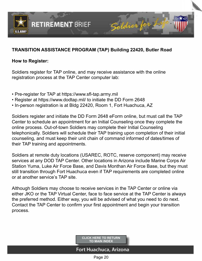

## **TRANSITION ASSISTANCE PROGRAM (TAP) Building 22420, Butler Road**

#### **How to Register:**

Soldiers register for TAP online, and may receive assistance with the online registration process at the TAP Center computer lab:

• Pre-register for TAP at https://www.sfl-tap.army.mil

**RETIREMENT BRIEF** 

- Register at https://www.dodtap.mil/ to initiate the DD Form 2648
- In-person registration is at Bldg 22420, Room 1, Fort Huachuca, AZ

Soldiers register and initiate the DD Form 2648 eForm online, but must call the TAP Center to schedule an appointment for an Initial Counseling once they complete the online process. Out-of-town Soldiers may complete their Initial Counseling telephonically. Soldiers will schedule their TAP training upon completion of their initial counseling, and must keep their unit chain of command informed of dates/times of their TAP training and appointments.

Soldiers at remote duty locations (USAREC, ROTC, reserve component) may receive services at any DOD TAP Center. Other locations in Arizona include Marine Corps Air Station Yuma, Luke Air Force Base, and Davis Monthan Air Force Base, but they must still transition through Fort Huachuca even if TAP requirements are completed online or at another service's TAP site.

Although Soldiers may choose to receive services in the TAP Center or online via either JKO or the TAP Virtual Center, face to face service at the TAP Center is always the preferred method. Either way, you will be advised of what you need to do next. Contact the TAP Center to confirm your first appointment and begin your transition process.

> **[CLICK HERE TO RETURN](#page-2-0)  TO MAIN INDEX**

## Fort Huachuca, Arizona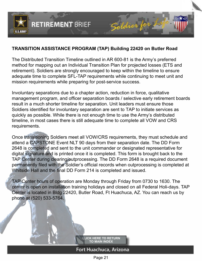

### **TRANSITION ASSISTANCE PROGRAM (TAP) Building 22420 on Butler Road**

The Distributed Transition Timeline outlined in AR 600-81 is the Army's preferred method for mapping out an Individual Transition Plan for projected losses (ETS and retirement). Soldiers are strongly encouraged to keep within the timeline to ensure adequate time to complete SFL-TAP requirements while continuing to meet unit and mission requirements while preparing for post-service success.

Involuntary separations due to a chapter action, reduction in force, qualitative management program, and officer separation boards / selective early retirement boards result in a much shorter timeline for separation. Unit leaders must ensure those Soldiers identified for involuntary separation are sent to TAP to initiate services as quickly as possible. While there is not enough time to use the Army's distributed timeline, in most cases there is still adequate time to complete all VOW and CRS requirements.

Once transitioning Soldiers meet all VOW/CRS requirements, they must schedule and attend a CAPSTONE Event NLT 90 days from their separation date. The DD Form 2648 is completed and sent to the unit commander or designated representative for digital signature and is printed once it is completed. This form is brought back to the TAP Center during clearing/outprocessing. The DD Form 2648 is a required document permanently filed with the Soldier's official records when outprocessing is completed at Whitside Hall and the final DD Form 214 is completed and issued.

TAP Center hours of operation are Monday through Friday from 0730 to 1630. The center is open on installation training holidays and closed on all Federal Holi-days. TAP Center is located in Bldg 22420, Butler Road, Ft Huachuca, AZ. You can reach us by phone at (520) 533-5764.

> **[CLICK HERE TO RETURN](#page-2-0)  TO MAIN INDEX**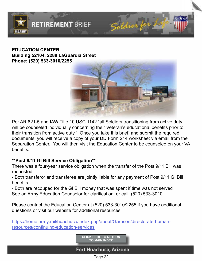<span id="page-20-0"></span>

### **EDUCATION CENTER Building 52104, 2288 LaGuardia Street Phone: (520) 533-3010/2255**

**RETIREMENT BRIEF** 



Per AR 621-5 and IAW Title 10 USC 1142 "all Soldiers transitioning from active duty will be counseled individually concerning their Veteran's educational benefits prior to their transition from active duty." Once you take this brief, and submit the required documents, you will receive a copy of your DD Form 214 worksheet via email from the Separation Center. You will then visit the Education Center to be counseled on your VA benefits.

### **\*\*Post 9/11 GI Bill Service Obligation\*\***

There was a four-year service obligation when the transfer of the Post 9/11 Bill was requested.

- Both transferor and transferee are jointly liable for any payment of Post 9/11 GI Bill benefits

- Both are recouped for the GI Bill money that was spent if time was not served See an Army Education Counselor for clarification, or call: (520) 533-3010

Please contact the Education Center at (520) 533-3010/2255 if you have additional questions or visit our website for additional resources:

[https://home.army.mil/huachuca/index.php/about/Garrison/directorate-human](https://www.ikn.army.mil/apps/IKNWMS/Home/WebSite/EducationServices)resources/continuing-education-services

> **[CLICK HERE TO RETURN](#page-2-0)  TO MAIN INDEX**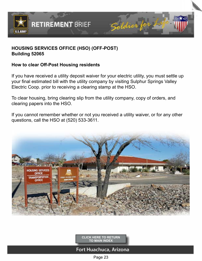<span id="page-21-0"></span>

## **HOUSING SERVICES OFFICE (HSO) (OFF-POST) Building 52065**

**RETIREMENT BRIEF** 

### **How to clear Off-Post Housing residents**

If you have received a utility deposit waiver for your electric utility, you must settle up your final estimated bill with the utility company by visiting Sulphur Springs Valley Electric Coop. prior to receiving a clearing stamp at the HSO.

To clear housing, bring clearing slip from the utility company, copy of orders, and clearing papers into the HSO.

If you cannot remember whether or not you received a utility waiver, or for any other questions, call the HSO at (520) 533-3611.



**[CLICK HERE TO RETURN](#page-2-0)  TO MAIN INDEX**

### Fort Huachuca, Arizona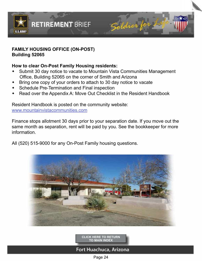<span id="page-22-0"></span>

### **FAMILY HOUSING OFFICE (ON-POST) Building 52065**

### **How to clear On-Post Family Housing residents:**

- Submit 30 day notice to vacate to Mountain Vista Communities Management Office, Building 52065 on the corner of Smith and Arizona
- Bring one copy of your orders to attach to 30 day notice to vacate
- Schedule Pre-Termination and Final inspection
- Read over the Appendix A: Move Out Checklist in the Resident Handbook

## Resident Handbook is posted on the community website:

[www.mountainvistacommunities.com](http://www.mountainvistacommunities.com)

Finance stops allotment 30 days prior to your separation date. If you move out the same month as separation, rent will be paid by you. See the bookkeeper for more information.

All (520) 515-9000 for any On-Post Family housing questions.



**[CLICK HERE TO RETURN](#page-2-0)  TO MAIN INDEX**

## Fort Huachuca, Arizona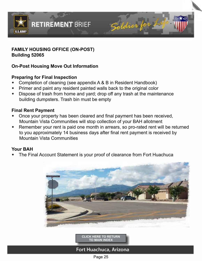

### **FAMILY HOUSING OFFICE (ON-POST) Building 52065**

### **On-Post Housing Move Out Information**

### **Preparing for Final Inspection**

- Completion of cleaning (see appendix A & B in Resident Handbook)
- Primer and paint any resident painted walls back to the original color
- Dispose of trash from home and yard; drop off any trash at the maintenance building dumpsters. Trash bin must be empty

### **Final Rent Payment**

- Once your property has been cleared and final payment has been received, Mountain Vista Communities will stop collection of your BAH allotment
- Remember your rent is paid one month in arrears, so pro-rated rent will be returned to you approximately 14 business days after final rent payment is received by Mountain Vista Communities

### **Your BAH**

The Final Account Statement is your proof of clearance from Fort Huachuca





Fort Huachuca, Arizona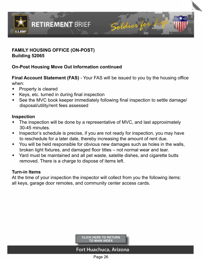

### **FAMILY HOUSING OFFICE (ON-POST) Building 52065**

## **On-Post Housing Move Out Information continued**

**Final Account Statement (FAS)** - Your FAS will be issued to you by the housing office when:

- $\bullet$  Property is cleared
- Keys, etc. turned in during final inspection
- See the MVC book keeper immediately following final inspection to settle damage/ disposal/utility/rent fees assessed

### **Inspection**

- The inspection will be done by a representative of MVC, and last approximately 30-45 minutes.
- Inspector's schedule is precise, if you are not ready for inspection, you may have to reschedule for a later date, thereby increasing the amount of rent due.
- You will be held responsible for obvious new damages such as holes in the walls, broken light fixtures, and damaged floor titles – not normal wear and tear.
- Yard must be maintained and all pet waste, satelite dishes, and cigarette butts removed. There is a charge to dispose of items left.

### **Turn-in Items**

At the time of your inspection the inspector will collect from you the following items: all keys, garage door remotes, and community center access cards.

> **[CLICK HERE TO RETURN](#page-2-0)  TO MAIN INDEX**

## Fort Huachuca, Arizona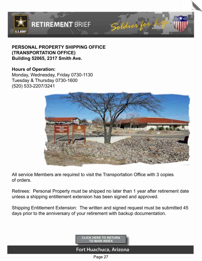<span id="page-25-0"></span>

### **PERSONAL PROPERTY SHIPPING OFFICE (TRANSPORTATION OFFICE) Building 52065, 2317 Smith Ave.**

### **Hours of Operation:**

Monday, Wednesday, Friday 0730-1130 Tuesday & Thursday 0730-1600 (520) 533-2207/3241



All service Members are required to visit the Transportation Office with 3 copies of orders.

Retirees: Personal Property must be shipped no later than 1 year after retirement date unless a shipping entitlement extension has been signed and approved.

Shipping Entitlement Extension: The written and signed request must be submitted 45 days prior to the anniversary of your retirement with backup documentation.



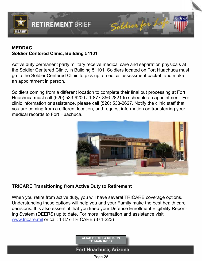<span id="page-26-0"></span>

## **MEDDAC Soldier Centered Clinic, Building 51101**

**RETIREMENT BRIEF** 

Active duty permanent party military receive medical care and separation physicals at the Soldier Centered Clinic, in Building 51101. Soldiers located on Fort Huachuca must go to the Soldier Centered Clinic to pick up a medical assessment packet, and make an appointment in person.

Soldiers coming from a different location to complete their final out processing at Fort Huachuca must call (520) 533-9200 / 1-877-856-2821 to schedule an appointment. For clinic information or assistance, please call (520) 533-2627. Notify the clinic staff that you are coming from a different location, and request information on transferring your medical records to Fort Huachuca.



### **TRICARE Transitioning from Active Duty to Retirement**

When you retire from active duty, you will have several TRICARE coverage options. Understanding these options will help you and your Family make the best health care decisions. It is also essential that you keep your Defense Enrollment Eligibility Reporting System (DEERS) up to date. For more information and assistance visit [www.tricare.mil](http://www.tricare.mil) or call: 1-877-TRICARE (874-223)

> **[CLICK HERE TO RETURN](#page-2-0)  TO MAIN INDEX**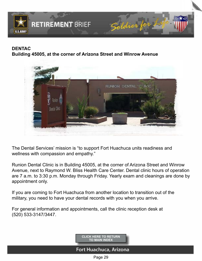<span id="page-27-0"></span>

## **DENTAC Building 45005, at the corner of Arizona Street and Winrow Avenue**



The Dental Services' mission is "to support Fort Huachuca units readiness and wellness with compassion and empathy."

Runion Dental Clinic is in Building 45005, at the corner of Arizona Street and Winrow Avenue, next to Raymond W. Bliss Health Care Center. Dental clinic hours of operation are 7 a.m. to 3:30 p.m. Monday through Friday. Yearly exam and cleanings are done by appointment only.

If you are coming to Fort Huachuca from another location to transition out of the military, you need to have your dental records with you when you arrive.

For general information and appointments, call the clinic reception desk at (520) 533-3147/3447.

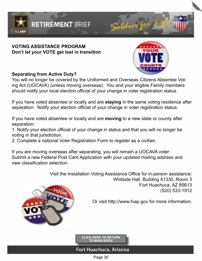<span id="page-28-0"></span>

### **VOTING ASSISTANCE PROGRAM Don't let your VOTE get lost in transition**

**RETIREMENT BRIEF** 



### **Separating from Active Duty?**

You will no longer be covered by the Uniformed and Overseas Citizens Absentee Voting Act (UOCAVA) (unless moving overseas). You and your eligible Family members should notify your local election official of your change in voter registration status.

If you have voted absentee or locally and are **staying** in the same voting residence after separation: Notify your election official of your change in voter registration status.

If you have voted absentee or locally and are **moving** to a new state or county after separation:

1. Notify your election official of your change in status and that you will no longer be voting in that jurisdiction.

2. Complete a national Voter Registration Form to register as a civilian.

If you are moving overseas after separating, you will remain a UOCAVA voter: Submit a new Federal Post Card Application with your updated mailing address and new classification selection.

> Visit the Installation Voting Assistance Office for in-person assistance: Whitside Hall, Building 41330, Room 3 Fort Huachuca, AZ 85613 (520) 533-1912





**[CLICK HERE TO RETURN](#page-2-0)  TO MAIN INDEX**

## Fort Huachuca, Arizona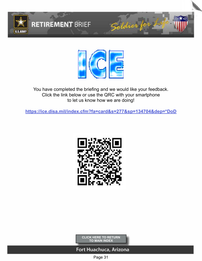<span id="page-29-0"></span>



You have completed the briefing and we would like your feedback. Click the link below or use the QRC with your smartphone to let us know how we are doing!

**[https://ice.disa.mil/index.cfm?fa=card&s=277&sp=134704&dep=\\*DoD](https://ice.disa.mil/index.cfm?fa=card&s=277&sp=134704&dep=*DoD)**



**[CLICK HERE TO RETURN](#page-2-0)  TO MAIN INDEX**

### Fort Huachuca, Arizona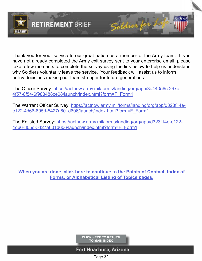<span id="page-30-0"></span>

Thank you for your service to our great nation as a member of the Army team. If you have not already completed the Army exit survey sent to your enterprise email, please take a few moments to complete the survey using the link below to help us understand why Soldiers voluntarily leave the service. Your feedback will assist us to inform policy decisions making our team stronger for future generations.

Soldier

The Officer Survey: [https://actnow.army.mil/forms/landing/org/app/3a44056c-297a-](https://actnow.army.mil/forms/landing/org/app/3a44056c-297a-4f57-8f54-6f988488ce08/launch/index.html?form=F_Form1)[4f57-8f54-6f988488ce08/launch/index.html?form=F\\_Form1](https://actnow.army.mil/forms/landing/org/app/3a44056c-297a-4f57-8f54-6f988488ce08/launch/index.html?form=F_Form1)

The Warrant Officer Survey: [https://actnow.army.mil/forms/landing/org/app/d323f14e](https://actnow.army.mil/forms/landing/org/app/d323f14e-c122-4d66-805d-5427a601d606/launch/index.html?form=F_Form1)[c122-4d66-805d-5427a601d606/launch/index.html?form=F\\_Form1](https://actnow.army.mil/forms/landing/org/app/d323f14e-c122-4d66-805d-5427a601d606/launch/index.html?form=F_Form1)

The Enlisted Survey: [https://actnow.army.mil/forms/landing/org/app/d323f14e-c122-](https://actnow.army.mil/forms/landing/org/app/d323f14e-c122-4d66-805d-5427a601d606/launch/index.html?form=F_Form1) [4d66-805d-5427a601d606/launch/index.html?form=F\\_Form1](https://actnow.army.mil/forms/landing/org/app/d323f14e-c122-4d66-805d-5427a601d606/launch/index.html?form=F_Form1)

**[When you are done, click here to continue to the Points of Contact, Index of](#page-31-0)  Forms, or Alphabetical Listing of Topics pages.**

> **[CLICK HERE TO RETURN](#page-2-0)  TO MAIN INDEX**

### Fort Huachuca, Arizona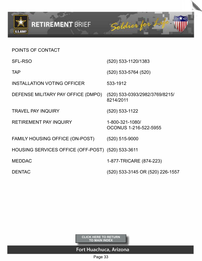<span id="page-31-0"></span>

POINTS OF CONTACT

# 2 元 Soldier for **RETIREMENT BRIEF**

| <b>SFL-RSO</b>                                    | (520) 533-1120/1383                         |
|---------------------------------------------------|---------------------------------------------|
| <b>TAP</b>                                        | $(520)$ 533-5764 $(520)$                    |
| <b>INSTALLATION VOTING OFFICER</b>                | 533-1912                                    |
| DEFENSE MILITARY PAY OFFICE (DMPO)                | (520) 533-0393/2982/3769/8215/<br>8214/2011 |
| <b>TRAVEL PAY INQUIRY</b>                         | $(520)$ 533-1122                            |
| <b>RETIREMENT PAY INQUIRY</b>                     | 1-800-321-1080/<br>OCONUS 1-216-522-5955    |
| FAMILY HOUSING OFFICE (ON-POST)                   | $(520)$ 515-9000                            |
| HOUSING SERVICES OFFICE (OFF-POST) (520) 533-3611 |                                             |
| <b>MEDDAC</b>                                     | 1-877-TRICARE (874-223)                     |
| <b>DENTAC</b>                                     | (520) 533-3145 OR (520) 226-1557            |

**[CLICK HERE TO RETURN](#page-2-0)  TO MAIN INDEX**

## Fort Huachuca, Arizona